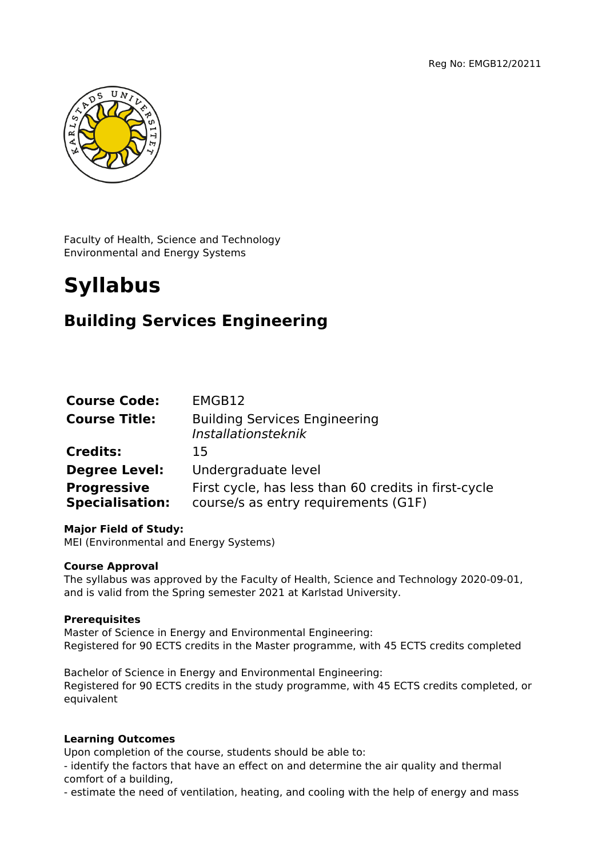

Faculty of Health, Science and Technology Environmental and Energy Systems

# **Syllabus**

# **Building Services Engineering**

| <b>Course Code:</b>                          | EMGB12                                                                                       |
|----------------------------------------------|----------------------------------------------------------------------------------------------|
| <b>Course Title:</b>                         | <b>Building Services Engineering</b><br>Installationsteknik                                  |
| <b>Credits:</b>                              | 15                                                                                           |
| <b>Degree Level:</b>                         | Undergraduate level                                                                          |
| <b>Progressive</b><br><b>Specialisation:</b> | First cycle, has less than 60 credits in first-cycle<br>course/s as entry requirements (G1F) |

# **Major Field of Study:**

MEI (Environmental and Energy Systems)

# **Course Approval**

The syllabus was approved by the Faculty of Health, Science and Technology 2020-09-01, and is valid from the Spring semester 2021 at Karlstad University.

# **Prerequisites**

Master of Science in Energy and Environmental Engineering: Registered for 90 ECTS credits in the Master programme, with 45 ECTS credits completed

Bachelor of Science in Energy and Environmental Engineering: Registered for 90 ECTS credits in the study programme, with 45 ECTS credits completed, or equivalent

# **Learning Outcomes**

Upon completion of the course, students should be able to:

- identify the factors that have an effect on and determine the air quality and thermal comfort of a building,

- estimate the need of ventilation, heating, and cooling with the help of energy and mass